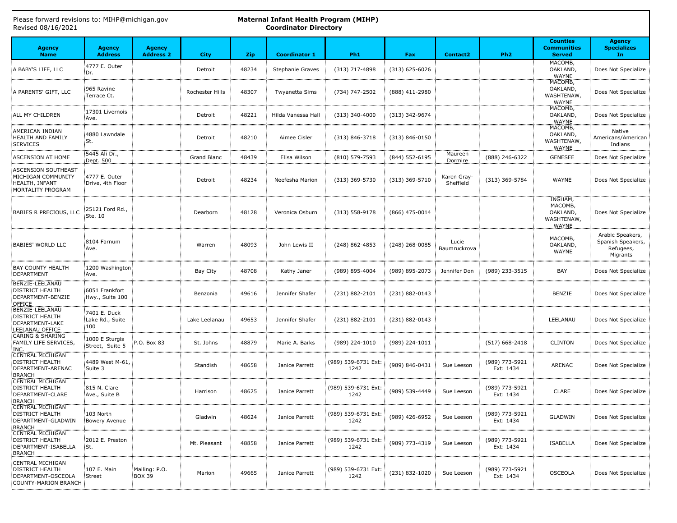| Revised 08/16/2021                                                                              |                                         |                                   |                 |            | <b>Coordinator Directory</b> |                             |                    |                          |                             |                                                              |                                                                |  |  |
|-------------------------------------------------------------------------------------------------|-----------------------------------------|-----------------------------------|-----------------|------------|------------------------------|-----------------------------|--------------------|--------------------------|-----------------------------|--------------------------------------------------------------|----------------------------------------------------------------|--|--|
| <b>Agency</b><br><b>Name</b>                                                                    | <b>Agency</b><br><b>Address</b>         | <b>Agency</b><br><b>Address 2</b> | <b>City</b>     | <b>Zip</b> | <b>Coordinator 1</b>         | Ph <sub>1</sub>             | Fax                | <b>Contact2</b>          | Ph <sub>2</sub>             | <b>Counties</b><br><b>Communities</b><br><b>Served</b>       | <b>Agency</b><br><b>Specializes</b><br>In                      |  |  |
| A BABY'S LIFE, LLC                                                                              | 4777 E. Outer<br>Dr.                    |                                   | Detroit         | 48234      | <b>Stephanie Graves</b>      | (313) 717-4898              | $(313) 625 - 6026$ |                          |                             | MACOMB,<br>OAKLAND,<br><b>WAYNE</b>                          | Does Not Specialize                                            |  |  |
| A PARENTS' GIFT, LLC                                                                            | 965 Ravine<br>Terrace Ct.               |                                   | Rochester Hills | 48307      | Twyanetta Sims               | (734) 747-2502              | (888) 411-2980     |                          |                             | MACOMB,<br>OAKLAND,<br>WASHTENAW,<br><b>WAYNE</b>            | Does Not Specialize                                            |  |  |
| ALL MY CHILDREN                                                                                 | 17301 Livernois<br>Ave.                 |                                   | Detroit         | 48221      | Hilda Vanessa Hall           | $(313)$ 340-4000            | (313) 342-9674     |                          |                             | MACOMB,<br>OAKLAND,<br><b>WAYNE</b>                          | Does Not Specialize                                            |  |  |
| AMERICAN INDIAN<br>HEALTH AND FAMILY<br>SERVICES                                                | 4880 Lawndale<br>St.                    |                                   | Detroit         | 48210      | Aimee Cisler                 | $(313) 846 - 3718$          | $(313) 846 - 0150$ |                          |                             | MACOMB,<br>OAKLAND,<br>WASHTENAW,<br>WAYNE                   | Native<br>Americans/American<br>Indians                        |  |  |
| ASCENSION AT HOME                                                                               | 5445 Ali Dr.,<br>Dept. 500              |                                   | Grand Blanc     | 48439      | Elisa Wilson                 | $(810)$ 579-7593            | (844) 552-6195     | Maureen<br>Dormire       | (888) 246-6322              | GENESEE                                                      | Does Not Specialize                                            |  |  |
| ASCENSION SOUTHEAST<br>MICHIGAN COMMUNITY<br>HEALTH, INFANT<br>MORTALITY PROGRAM                | 4777 E. Outer<br>Drive, 4th Floor       |                                   | Detroit         | 48234      | Neefesha Marion              | $(313)$ 369-5730            | $(313)$ 369-5710   | Karen Gray-<br>Sheffield | (313) 369-5784              | WAYNE                                                        | Does Not Specialize                                            |  |  |
| BABIES R PRECIOUS, LLC                                                                          | 25121 Ford Rd.,<br>Ste. 10              |                                   | Dearborn        | 48128      | Veronica Osburn              | $(313) 558 - 9178$          | (866) 475-0014     |                          |                             | INGHAM,<br>MACOMB,<br>OAKLAND,<br>WASHTENAW,<br><b>WAYNE</b> | Does Not Specialize                                            |  |  |
| BABIES' WORLD LLC                                                                               | 8104 Farnum<br>Ave.                     |                                   | Warren          | 48093      | John Lewis II                | (248) 862-4853              | (248) 268-0085     | Lucie<br>Baumruckrova    |                             | MACOMB,<br>OAKLAND,<br>WAYNE                                 | Arabic Speakers,<br>Spanish Speakers,<br>Refugees,<br>Migrants |  |  |
| <b>BAY COUNTY HEALTH</b><br>DEPARTMENT                                                          | 1200 Washington<br>Ave.                 |                                   | Bay City        | 48708      | Kathy Janer                  | (989) 895-4004              | (989) 895-2073     | Jennifer Don             | (989) 233-3515              | BAY                                                          | Does Not Specialize                                            |  |  |
| BENZIE-LEELANAU<br><b>DISTRICT HEALTH</b><br>DEPARTMENT-BENZIE<br>OFFICE                        | 6051 Frankfort<br>Hwy., Suite 100       |                                   | Benzonia        | 49616      | Jennifer Shafer              | (231) 882-2101              | (231) 882-0143     |                          |                             | <b>BENZIE</b>                                                | Does Not Specialize                                            |  |  |
| BENZIE-LEELANAU<br><b>DISTRICT HEALTH</b><br>DEPARTMENT-LAKE<br>LEELANAU OFFICE                 | 7401 E. Duck<br>Lake Rd., Suite<br>:100 |                                   | Lake Leelanau   | 49653      | Jennifer Shafer              | (231) 882-2101              | (231) 882-0143     |                          |                             | LEELANAU                                                     | Does Not Specialize                                            |  |  |
| <b>CARING &amp; SHARING</b><br>FAMILY LIFE SERVICES,<br>INC.                                    | 1000 E Sturgis<br>Street, Suite 5       | P.O. Box 83                       | St. Johns       | 48879      | Marie A. Barks               | (989) 224-1010              | (989) 224-1011     |                          | $(517)$ 668-2418            | <b>CLINTON</b>                                               | Does Not Specialize                                            |  |  |
| <b>CENTRAL MICHIGAN</b><br><b>DISTRICT HEALTH</b><br>DEPARTMENT-ARENAC<br><b>BRANCH</b>         | 4489 West M-61,<br>Suite 3              |                                   | Standish        | 48658      | Janice Parrett               | (989) 539-6731 Ext:<br>1242 | (989) 846-0431     | Sue Leeson               | (989) 773-5921<br>Ext: 1434 | ARENAC                                                       | Does Not Specialize                                            |  |  |
| <b>CENTRAL MICHIGAN</b><br><b>DISTRICT HEALTH</b><br>DEPARTMENT-CLARE<br>BRANCH                 | 815 N. Clare<br>Ave., Suite B           |                                   | Harrison        | 48625      | Janice Parrett               | (989) 539-6731 Ext:<br>1242 | (989) 539-4449     | Sue Leeson               | (989) 773-5921<br>Ext: 1434 | <b>CLARE</b>                                                 | Does Not Specialize                                            |  |  |
| <b>CENTRAL MICHIGAN</b><br><b>DISTRICT HEALTH</b><br>DEPARTMENT-GLADWIN<br>BRANCH               | 103 North<br>Bowery Avenue              |                                   | Gladwin         | 48624      | Janice Parrett               | (989) 539-6731 Ext:<br>1242 | (989) 426-6952     | Sue Leeson               | (989) 773-5921<br>Ext: 1434 | <b>GLADWIN</b>                                               | Does Not Specialize                                            |  |  |
| <b>CENTRAL MICHIGAN</b><br><b>DISTRICT HEALTH</b><br>DEPARTMENT-ISABELLA<br>BRANCH              | 2012 E. Preston<br>:St.                 |                                   | Mt. Pleasant    | 48858      | Janice Parrett               | (989) 539-6731 Ext:<br>1242 | (989) 773-4319     | Sue Leeson               | (989) 773-5921<br>Ext: 1434 | ISABELLA                                                     | Does Not Specialize                                            |  |  |
| CENTRAL MICHIGAN<br><b>DISTRICT HEALTH</b><br>DEPARTMENT-OSCEOLA<br><b>COUNTY-MARION BRANCH</b> | 107 E. Main<br>Street                   | Mailing: P.O.<br>BOX 39           | Marion          | 49665      | Janice Parrett               | (989) 539-6731 Ext:<br>1242 | (231) 832-1020     | Sue Leeson               | (989) 773-5921<br>Ext: 1434 | <b>OSCEOLA</b>                                               | Does Not Specialize                                            |  |  |

Please forward revisions to: MIHP@michigan.gov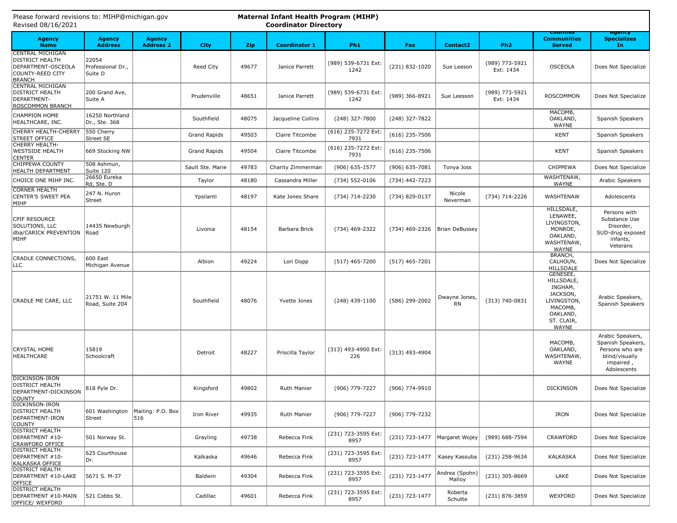| Revised 08/16/2021<br><b>Coordinator Directory</b>                                                           |                                       |                                   |                     |            |                      |                             |                  |                               |                             |                                                                                                                   |                                                                                                        |
|--------------------------------------------------------------------------------------------------------------|---------------------------------------|-----------------------------------|---------------------|------------|----------------------|-----------------------------|------------------|-------------------------------|-----------------------------|-------------------------------------------------------------------------------------------------------------------|--------------------------------------------------------------------------------------------------------|
| <b>Agency</b><br><b>Name</b>                                                                                 | <b>Agency</b><br><b>Address</b>       | <b>Agency</b><br><b>Address 2</b> | <b>City</b>         | <b>Zip</b> | <b>Coordinator 1</b> | Ph <sub>1</sub>             | Fax              | <b>Contact2</b>               | Ph <sub>2</sub>             | counties<br><b>Communities</b><br><b>Served</b>                                                                   | дуспсу<br><b>Specializes</b><br>In.                                                                    |
| <b>CENTRAL MICHIGAN</b><br><b>DISTRICT HEALTH</b><br>DEPARTMENT-OSCEOLA<br>COUNTY-REED CITY<br><b>BRANCH</b> | 22054<br>Professional Dr.,<br>Suite D |                                   | Reed City           | 49677      | Janice Parrett       | (989) 539-6731 Ext:<br>1242 | (231) 832-1020   | Sue Leeson                    | (989) 773-5921<br>Ext: 1434 | <b>OSCEOLA</b>                                                                                                    | Does Not Specialize                                                                                    |
| <b>CENTRAL MICHIGAN</b><br><b>DISTRICT HEALTH</b><br>DEPARTMENT-<br>ROSCOMMON BRANCH                         | 200 Grand Ave,<br>Suite A             |                                   | Prudenville         | 48651      | Janice Parrett       | (989) 539-6731 Ext:<br>1242 | (989) 366-8921   | Sue Leesson                   | (989) 773-5921<br>Ext: 1434 | <b>ROSCOMMON</b>                                                                                                  | Does Not Specialize                                                                                    |
| <b>CHAMPION HOME</b><br>HEALTHCARE, INC.                                                                     | 16250 Northland<br>Dr., Ste. 368      |                                   | Southfield          | 48075      | Jacqueline Collins   | (248) 327-7800              | (248) 327-7822   |                               |                             | MACOMB,<br>OAKLAND,<br>WAYNE                                                                                      | Spanish Speakers                                                                                       |
| CHERRY HEALTH-CHERRY<br>STREET OFFICE                                                                        | 550 Cherry<br>Street SE               |                                   | <b>Grand Rapids</b> | 49503      | Claire Titcombe      | (616) 235-7272 Ext:<br>7931 | $(616)$ 235-7506 |                               |                             | <b>KENT</b>                                                                                                       | Spanish Speakers                                                                                       |
| <b>CHERRY HEALTH-</b><br><b>WESTSIDE HEALTH</b><br><b>CENTER</b>                                             | 669 Stocking NW                       |                                   | <b>Grand Rapids</b> | 49504      | Claire Titcombe      | (616) 235-7272 Ext:<br>7931 | $(616)$ 235-7506 |                               |                             | <b>KENT</b>                                                                                                       | Spanish Speakers                                                                                       |
| <b>CHIPPEWA COUNTY</b><br>HEALTH DEPARTMENT                                                                  | 508 Ashmun,<br>Suite 120              |                                   | Sault Ste. Marie    | 49783      | Charity Zimmerman    | (906) 635-1577              | (906) 635-7081   | Tonya Joss                    |                             | CHIPPEWA                                                                                                          | Does Not Specialize                                                                                    |
| CHOICE ONE MIHP INC.                                                                                         | 26650 Eureka<br>Rd, Ste. D            |                                   | Taylor              | 48180      | Cassandra Miller     | $(734) 552 - 0106$          | (734) 442-7223   |                               |                             | WASHTENAW,<br>WAYNE                                                                                               | Arabic Speakers                                                                                        |
| <b>CORNER HEALTH</b><br>CENTER'S SWEET PEA<br>MIHP                                                           | 247 N. Huron<br>Street                |                                   | Ypsilanti           | 48197      | Kate Jones Share     | (734) 714-2230              | (734) 829-0137   | Nicole<br>Neverman            | (734) 714-2226              | WASHTENAW                                                                                                         | Adolescents                                                                                            |
| CPIF RESOURCE<br>SOLUTIONS, LLC<br>dba/CARICK PREVENTION<br>MIHP                                             | 14435 Newburgh<br>Road                |                                   | Livonia             | 48154      | Barbara Brick        | (734) 469-2322              |                  | (734) 469-2326 Brian DeBussey |                             | <b>HILLSDALE,</b><br>LENAWEE,<br>LIVINGSTON,<br>MONROE,<br>OAKLAND,<br>WASHTENAW,<br><b>WAYNE</b>                 | Persons with<br>Substance Use<br>Disorder,<br>SUD-drug exposed<br>infants,<br>Veterans                 |
| CRADLE CONNECTIONS,<br> LLC                                                                                  | <b>600 East</b><br>Michigan Avenue    |                                   | Albion              | 49224      | Lori Dopp            | $(517)$ 465-7200            | $(517)$ 465-7201 |                               |                             | BRANCH,<br>CALHOUN,<br>HILLSDALE                                                                                  | Does Not Specialize                                                                                    |
| CRADLE ME CARE, LLC                                                                                          | 21751 W. 11 Mile<br>Road, Suite 204   |                                   | Southfield          | 48076      | Yvette Jones         | $(248)$ 439-1100            | (586) 299-2002   | Dwayne Jones,<br><b>RN</b>    | (313) 740-0831              | GENESEE,<br>HILLSDALE,<br>INGHAM,<br>JACKSON,<br>LIVINGSTON,<br>MACOMB,<br>OAKLAND,<br>ST. CLAIR,<br><b>WAYNE</b> | Arabic Speakers,<br>Spanish Speakers                                                                   |
| <b>CRYSTAL HOME</b><br>HEALTHCARE                                                                            | 15819<br>Schoolcraft                  |                                   | Detroit             | 48227      | Priscilla Taylor     | (313) 493-4900 Ext:<br>226  | $(313)$ 493-4904 |                               |                             | MACOMB,<br>OAKLAND,<br>WASHTENAW,<br>WAYNE                                                                        | Arabic Speakers,<br>Spanish Speakers,<br>Persons who are<br>blind/visually<br>impaired,<br>Adolescents |
| DICKINSON-IRON<br><b>DISTRICT HEALTH</b><br>DEPARTMENT-DICKINSON<br><b>COUNTY</b>                            | 818 Pyle Dr.                          |                                   | Kingsford           | 49802      | Ruth Manier          | (906) 779-7227              | (906) 774-9910   |                               |                             | <b>DICKINSON</b>                                                                                                  | Does Not Specialize                                                                                    |
| DICKINSON-IRON<br><b>DISTRICT HEALTH</b><br>DEPARTMENT-IRON<br><b>COUNTY</b>                                 | 601 Washington<br>Street              | Mailing: P.O. Box<br>516          | Iron River          | 49935      | <b>Ruth Manier</b>   | (906) 779-7227              | (906) 779-7232   |                               |                             | <b>IRON</b>                                                                                                       | Does Not Specialize                                                                                    |
| <b>DISTRICT HEALTH</b><br>DEPARTMENT #10-<br>CRAWFORD OFFICE                                                 | 501 Norway St.                        |                                   | Grayling            | 49738      | Rebecca Fink         | (231) 723-3595 Ext:<br>8957 | (231) 723-1477   | Margaret Wojey                | (989) 688-7594              | <b>CRAWFORD</b>                                                                                                   | Does Not Specialize                                                                                    |
| <b>DISTRICT HEALTH</b><br>DEPARTMENT #10-<br>KALKASKA OFFICE                                                 | 625 Courthouse<br>Dr.                 |                                   | Kalkaska            | 49646      | Rebecca Fink         | (231) 723-3595 Ext:<br>8957 | (231) 723-1477   | Kasey Kassuba                 | (231) 258-9634              | KALKASKA                                                                                                          | Does Not Specialize                                                                                    |
| <b>DISTRICT HEALTH</b><br>DEPARTMENT #10-LAKE<br>OFFICE                                                      | 5671 S. M-37                          |                                   | Baldwin             | 49304      | Rebecca Fink         | (231) 723-3595 Ext:<br>8957 | (231) 723-1477   | Andrea (Spohn)<br>Malloy      | (231) 305-8669              | LAKE                                                                                                              | Does Not Specialize                                                                                    |
| <b>DISTRICT HEALTH</b><br>DEPARTMENT #10-MAIN<br>OFFICE/ WEXFORD                                             | 521 Cobbs St.                         |                                   | Cadillac            | 49601      | Rebecca Fink         | (231) 723-3595 Ext:<br>8957 | (231) 723-1477   | Roberta<br>Schutte            | (231) 876-3859              | <b>WEXFORD</b>                                                                                                    | Does Not Specialize                                                                                    |

|                    |  | Please forward revisions to: MIHP@michigan.gov |
|--------------------|--|------------------------------------------------|
| Revised 08/16/2021 |  |                                                |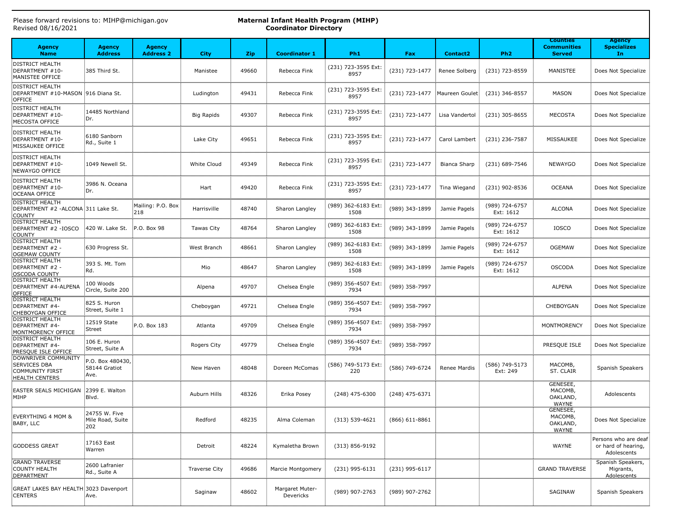| Revised 08/16/2021                                                              |                                            |                                   |                      |            | <b>Coordinator Directory</b> |                             |                               |                     |                             |                                                        |                                                            |
|---------------------------------------------------------------------------------|--------------------------------------------|-----------------------------------|----------------------|------------|------------------------------|-----------------------------|-------------------------------|---------------------|-----------------------------|--------------------------------------------------------|------------------------------------------------------------|
| <b>Agency</b><br><b>Name</b>                                                    | <b>Agency</b><br><b>Address</b>            | <b>Agency</b><br><b>Address 2</b> | <b>City</b>          | <b>Zip</b> | <b>Coordinator 1</b>         | Ph <sub>1</sub>             | Fax                           | <b>Contact2</b>     | Ph <sub>2</sub>             | <b>Counties</b><br><b>Communities</b><br><b>Served</b> | <b>Agency</b><br><b>Specializes</b><br>In                  |
| <b>DISTRICT HEALTH</b><br>DEPARTMENT #10-<br>MANISTEE OFFICE                    | 385 Third St.                              |                                   | Manistee             | 49660      | Rebecca Fink                 | (231) 723-3595 Ext:<br>8957 | (231) 723-1477                | Renee Solberg       | (231) 723-8559              | MANISTEE                                               | Does Not Specialize                                        |
| <b>DISTRICT HEALTH</b><br>DEPARTMENT #10-MASON 916 Diana St.<br>OFFICE          |                                            |                                   | Ludington            | 49431      | Rebecca Fink                 | (231) 723-3595 Ext:<br>8957 | (231) 723-1477 Maureen Goulet |                     | (231) 346-8557              | <b>MASON</b>                                           | Does Not Specialize                                        |
| <b>DISTRICT HEALTH</b><br>DEPARTMENT #10-<br>MECOSTA OFFICE                     | 14485 Northland<br>Dr.                     |                                   | <b>Big Rapids</b>    | 49307      | Rebecca Fink                 | (231) 723-3595 Ext:<br>8957 | (231) 723-1477                | Lisa Vandertol      | $(231)$ 305-8655            | <b>MECOSTA</b>                                         | Does Not Specialize                                        |
| <b>DISTRICT HEALTH</b><br>DEPARTMENT #10-<br>MISSAUKEE OFFICE                   | 6180 Sanborn<br>Rd., Suite 1               |                                   | Lake City            | 49651      | Rebecca Fink                 | (231) 723-3595 Ext:<br>8957 | (231) 723-1477                | Carol Lambert       | (231) 236-7587              | MISSAUKEE                                              | Does Not Specialize                                        |
| <b>DISTRICT HEALTH</b><br>DEPARTMENT #10-<br>NEWAYGO OFFICE                     | 1049 Newell St.                            |                                   | White Cloud          | 49349      | Rebecca Fink                 | (231) 723-3595 Ext:<br>8957 | (231) 723-1477                | <b>Bianca Sharp</b> | (231) 689-7546              | <b>NEWAYGO</b>                                         | Does Not Specialize                                        |
| <b>DISTRICT HEALTH</b><br>DEPARTMENT #10-<br>OCEANA OFFICE                      | 3986 N. Oceana<br>Dr.                      |                                   | Hart                 | 49420      | Rebecca Fink                 | (231) 723-3595 Ext:<br>8957 | (231) 723-1477                | Tina Wiegand        | (231) 902-8536              | <b>OCEANA</b>                                          | Does Not Specialize                                        |
| <b>DISTRICT HEALTH</b><br>DEPARTMENT #2 -ALCONA 311 Lake St.<br><b>COUNTY</b>   |                                            | Mailing: P.O. Box<br>218          | Harrisville          | 48740      | Sharon Langley               | (989) 362-6183 Ext:<br>1508 | (989) 343-1899                | Jamie Pagels        | (989) 724-6757<br>Ext: 1612 | <b>ALCONA</b>                                          | Does Not Specialize                                        |
| <b>DISTRICT HEALTH</b><br>DEPARTMENT #2 - IOSCO<br><b>COUNTY</b>                | 420 W. Lake St.                            | P.O. Box 98                       | Tawas City           | 48764      | Sharon Langley               | (989) 362-6183 Ext:<br>1508 | (989) 343-1899                | Jamie Pagels        | (989) 724-6757<br>Ext: 1612 | <b>IOSCO</b>                                           | Does Not Specialize                                        |
| <b>DISTRICT HEALTH</b><br>DEPARTMENT #2 -<br>OGEMAW COUNTY                      | 630 Progress St.                           |                                   | West Branch          | 48661      | Sharon Langley               | (989) 362-6183 Ext:<br>1508 | (989) 343-1899                | Jamie Pagels        | (989) 724-6757<br>Ext: 1612 | <b>OGEMAW</b>                                          | Does Not Specialize                                        |
| <b>DISTRICT HEALTH</b><br>DEPARTMENT #2 -<br>OSCODA COUNTY                      | 393 S. Mt. Tom<br>Rd.                      |                                   | Mio                  | 48647      | Sharon Langley               | (989) 362-6183 Ext:<br>1508 | (989) 343-1899                | Jamie Pagels        | (989) 724-6757<br>Ext: 1612 | <b>OSCODA</b>                                          | Does Not Specialize                                        |
| <b>DISTRICT HEALTH</b><br>DEPARTMENT #4-ALPENA<br>OFFICE                        | ≣100 Woods<br>Circle, Suite 200            |                                   | Alpena               | 49707      | Chelsea Engle                | (989) 356-4507 Ext:<br>7934 | (989) 358-7997                |                     |                             | <b>ALPENA</b>                                          | Does Not Specialize                                        |
| <b>DISTRICT HEALTH</b><br>DEPARTMENT #4-<br>CHEBOYGAN OFFICE                    | 825 S. Huron<br>Street, Suite 1            |                                   | Cheboygan            | 49721      | Chelsea Engle                | (989) 356-4507 Ext:<br>7934 | (989) 358-7997                |                     |                             | CHEBOYGAN                                              | Does Not Specialize                                        |
| <b>DISTRICT HEALTH</b><br>DEPARTMENT #4-<br>MONTMORENCY OFFICE                  | 12519 State<br>Street                      | P.O. Box 183                      | Atlanta              | 49709      | Chelsea Engle                | (989) 356-4507 Ext:<br>7934 | (989) 358-7997                |                     |                             | MONTMORENCY                                            | Does Not Specialize                                        |
| <b>DISTRICT HEALTH</b><br>DEPARTMENT #4-<br>PRESQUE ISLE OFFICE                 | 106 E. Huron<br>Street, Suite A            |                                   | Rogers City          | 49779      | Chelsea Engle                | (989) 356-4507 Ext:<br>7934 | (989) 358-7997                |                     |                             | PRESQUE ISLE                                           | Does Not Specialize                                        |
| DOWNRIVER COMMUNITY<br>SERVICES DBA<br>COMMUNITY FIRST<br><b>HEALTH CENTERS</b> | P.O. Box 480430,<br>58144 Gratiot<br>:Ave. |                                   | New Haven            | 48048      | Doreen McComas               | (586) 749-5173 Ext:<br>220  | (586) 749-6724                | Renee Mardis        | (586) 749-5173<br>Ext: 249  | MACOMB,<br>ST. CLAIR                                   | Spanish Speakers                                           |
| EASTER SEALS MICHIGAN<br>MIHP                                                   | 2399 E. Walton<br>Blvd.                    |                                   | Auburn Hills         | 48326      | Erika Posey                  | $(248)$ 475-6300            | $(248)$ 475-6371              |                     |                             | GENESEE,<br>MACOMB,<br>OAKLAND,<br><b>WAYNE</b>        | Adolescents                                                |
| EVERYTHING 4 MOM &<br>BABY, LLC                                                 | 24755 W. Five<br>Mile Road, Suite<br>202   |                                   | Redford              | 48235      | Alma Coleman                 | $(313) 539 - 4621$          | $(866) 611 - 8861$            |                     |                             | GENESEE,<br>MACOMB,<br>OAKLAND,<br>WAYNE               | Does Not Specialize                                        |
| <b>GODDESS GREAT</b>                                                            | 17163 East<br>Warren                       |                                   | Detroit              | 48224      | Kymaletha Brown              | $(313) 856 - 9192$          |                               |                     |                             | WAYNE                                                  | Persons who are deaf<br>or hard of hearing,<br>Adolescents |
| <b>GRAND TRAVERSE</b><br>COUNTY HEALTH<br>DEPARTMENT                            | 2600 Lafranier<br>Rd., Suite A             |                                   | <b>Traverse City</b> | 49686      | <b>Marcie Montgomery</b>     | (231) 995-6131              | (231) 995-6117                |                     |                             | <b>GRAND TRAVERSE</b>                                  | Spanish Speakers,<br>Migrants,<br>Adolescents              |
| GREAT LAKES BAY HEALTH 3023 Davenport<br>CENTERS                                | Ave.                                       |                                   | Saginaw              | 48602      | Margaret Muter-<br>Devericks | (989) 907-2763              | (989) 907-2762                |                     |                             | SAGINAW                                                | Spanish Speakers                                           |

Please forward revisions to: MIHP@michigan.gov Revised 08/16/2021

#### **Maternal Infant Health Program (MIHP) Coordinator Directory**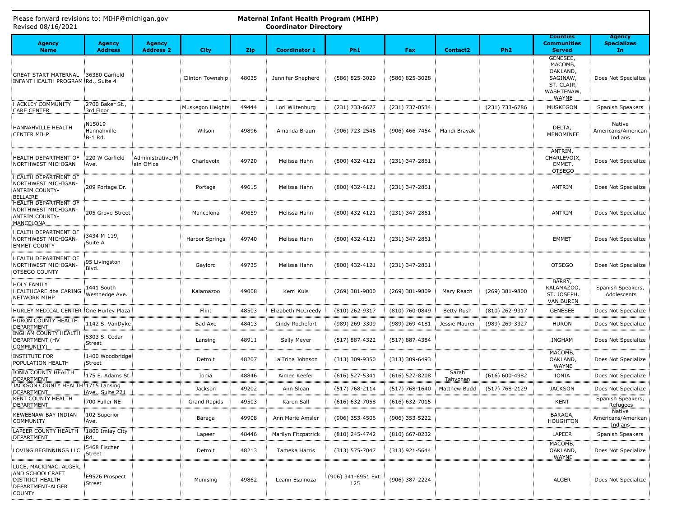| Revised 08/16/2021                                                                                       |                                  |                                   |                       | <b>Coordinator Directory</b> |                      |                            |                    |                   |                    |                                                                                         |                                           |
|----------------------------------------------------------------------------------------------------------|----------------------------------|-----------------------------------|-----------------------|------------------------------|----------------------|----------------------------|--------------------|-------------------|--------------------|-----------------------------------------------------------------------------------------|-------------------------------------------|
| <b>Agency</b><br><b>Name</b>                                                                             | <b>Agency</b><br><b>Address</b>  | <b>Agency</b><br><b>Address 2</b> | <b>City</b>           | <b>Zip</b>                   | <b>Coordinator 1</b> | Ph <sub>1</sub>            | Fax                | <b>Contact2</b>   | Ph <sub>2</sub>    | <b>Counties</b><br><b>Communities</b><br><b>Served</b>                                  | <b>Agency</b><br><b>Specializes</b><br>In |
| GREAT START MATERNAL 36380 Garfield<br>INFANT HEALTH PROGRAM Rd., Suite 4                                |                                  |                                   | Clinton Township      | 48035                        | Jennifer Shepherd    | (586) 825-3029             | (586) 825-3028     |                   |                    | GENESEE,<br>MACOMB,<br>OAKLAND,<br>SAGINAW,<br>ST. CLAIR,<br>WASHTENAW,<br><b>WAYNE</b> | Does Not Specialize                       |
| <b>HACKLEY COMMUNITY</b><br><b>CARE CENTER</b>                                                           | 2700 Baker St.,<br>3rd Floor     |                                   | Muskegon Heights      | 49444                        | Lori Wiltenburg      | (231) 733-6677             | (231) 737-0534     |                   | (231) 733-6786     | <b>MUSKEGON</b>                                                                         | Spanish Speakers                          |
| HANNAHVILLE HEALTH<br><b>CENTER MIHP</b>                                                                 | N15019<br>Hannahville<br>B-1 Rd. |                                   | Wilson                | 49896                        | Amanda Braun         | (906) 723-2546             | (906) 466-7454     | Mandi Brayak      |                    | DELTA,<br>MENOMINEE                                                                     | Native<br>Americans/American<br>Indians   |
| HEALTH DEPARTMENT OF<br>NORTHWEST MICHIGAN                                                               | 220 W Garfield<br>Ave.           | Administrative/M<br>ain Office    | Charlevoix            | 49720                        | Melissa Hahn         | (800) 432-4121             | (231) 347-2861     |                   |                    | ANTRIM,<br>CHARLEVOIX,<br>EMMET,<br><b>OTSEGO</b>                                       | Does Not Specialize                       |
| <b>HEALTH DEPARTMENT OF</b><br>NORTHWEST MICHIGAN-<br>ANTRIM COUNTY-<br><b>BELLAIRE</b>                  | 209 Portage Dr.                  |                                   | Portage               | 49615                        | Melissa Hahn         | (800) 432-4121             | (231) 347-2861     |                   |                    | ANTRIM                                                                                  | Does Not Specialize                       |
| <b>HEALTH DEPARTMENT OF</b><br>NORTHWEST MICHIGAN-<br>ANTRIM COUNTY-<br>MANCELONA                        | 205 Grove Street                 |                                   | Mancelona             | 49659                        | Melissa Hahn         | (800) 432-4121             | (231) 347-2861     |                   |                    | ANTRIM                                                                                  | Does Not Specialize                       |
| HEALTH DEPARTMENT OF<br>NORTHWEST MICHIGAN-<br><b>EMMET COUNTY</b>                                       | 3434 M-119,<br>Suite A           |                                   | <b>Harbor Springs</b> | 49740                        | Melissa Hahn         | (800) 432-4121             | (231) 347-2861     |                   |                    | <b>EMMET</b>                                                                            | Does Not Specialize                       |
| HEALTH DEPARTMENT OF<br>NORTHWEST MICHIGAN-<br>OTSEGO COUNTY                                             | 95 Livingston<br>Blvd.           |                                   | Gaylord               | 49735                        | Melissa Hahn         | (800) 432-4121             | (231) 347-2861     |                   |                    | <b>OTSEGO</b>                                                                           | Does Not Specialize                       |
| <b>HOLY FAMILY</b><br>HEALTHCARE dba CARING<br>NETWORK MIHP                                              | 1441 South<br>Westnedge Ave.     |                                   | Kalamazoo             | 49008                        | Kerri Kuis           | $(269)$ 381-9800           | (269) 381-9809     | Mary Reach        | $(269)$ 381-9800   | BARRY,<br>KALAMAZOO,<br>ST. JOSEPH,<br><b>VAN BUREN</b>                                 | Spanish Speakers,<br>Adolescents          |
| HURLEY MEDICAL CENTER                                                                                    | One Hurley Plaza                 |                                   | Flint                 | 48503                        | Elizabeth McCreedy   | (810) 262-9317             | (810) 760-0849     | <b>Betty Rush</b> | (810) 262-9317     | <b>GENESEE</b>                                                                          | Does Not Specialize                       |
| <b>HURON COUNTY HEALTH</b><br>DEPARTMENT                                                                 | 1142 S. VanDyke                  |                                   | Bad Axe               | 48413                        | Cindy Rochefort      | (989) 269-3309             | (989) 269-4181     | Jessie Maurer     | (989) 269-3327     | <b>HURON</b>                                                                            | Does Not Specialize                       |
| <b>INGHAM COUNTY HEALTH</b><br>DEPARTMENT (HV<br><b>COMMUNITY)</b>                                       | 5303 S. Cedar<br>Street          |                                   | Lansing               | 48911                        | Sally Meyer          | $(517)$ 887-4322           | $(517)$ 887-4384   |                   |                    | <b>INGHAM</b>                                                                           | Does Not Specialize                       |
| <b>INSTITUTE FOR</b><br>POPULATION HEALTH                                                                | 1400 Woodbridge<br>Street        |                                   | Detroit               | 48207                        | La'Trina Johnson     | (313) 309-9350             | $(313)$ 309-6493   |                   |                    | MACOMB,<br>OAKLAND,<br>WAYNE                                                            | Does Not Specialize                       |
| IONIA COUNTY HEALTH<br>DEPARTMENT                                                                        | 175 E. Adams St.                 |                                   | Ionia                 | 48846                        | Aimee Keefer         | $(616)$ 527-5341           | $(616)$ 527-8208   | Sarah<br>Tahvonen | $(616) 600 - 4982$ | IONIA                                                                                   | Does Not Specialize                       |
| JACKSON COUNTY HEALTH 1715 Lansing<br>DEPARTMENT                                                         | Ave., Suite 221                  |                                   | Jackson               | 49202                        | Ann Sloan            | $(517) 768 - 2114$         | $(517) 768 - 1640$ | Matthew Budd      | $(517) 768 - 2129$ | <b>JACKSON</b>                                                                          | Does Not Specialize                       |
| KENT COUNTY HEALTH<br>DEPARTMENT                                                                         | 700 Fuller NE                    |                                   | <b>Grand Rapids</b>   | 49503                        | Karen Sall           | $(616) 632 - 7058$         | $(616) 632 - 7015$ |                   |                    | <b>KENT</b>                                                                             | Spanish Speakers,<br><b>Refugees</b>      |
| KEWEENAW BAY INDIAN<br><b>COMMUNITY</b>                                                                  | 102 Superior<br>Ave.             |                                   | Baraga                | 49908                        | Ann Marie Amsler     | $(906)$ 353-4506           | (906) 353-5222     |                   |                    | BARAGA,<br><b>HOUGHTON</b>                                                              | Native<br>Americans/American<br>Indians   |
| LAPEER COUNTY HEALTH<br>DEPARTMENT                                                                       | 1800 Imlay City<br>Rd.           |                                   | Lapeer                | 48446                        | Marilyn Fitzpatrick  | (810) 245-4742             | $(810)$ 667-0232   |                   |                    | LAPEER                                                                                  | Spanish Speakers                          |
| LOVING BEGINNINGS LLC                                                                                    | 5468 Fischer<br>Street           |                                   | Detroit               | 48213                        | Tameka Harris        | $(313) 575 - 7047$         | $(313)$ 921-5644   |                   |                    | MACOMB,<br>OAKLAND,<br>WAYNE                                                            | Does Not Specialize                       |
| LUCE, MACKINAC, ALGER,<br>AND SCHOOLCRAFT<br><b>DISTRICT HEALTH</b><br>DEPARTMENT-ALGER<br><b>COUNTY</b> | E9526 Prospect<br>Street         |                                   | Munising              | 49862                        | Leann Espinoza       | (906) 341-6951 Ext:<br>125 | (906) 387-2224     |                   |                    | <b>ALGER</b>                                                                            | Does Not Specialize                       |

Please forward revisions to: MIHP@michigan.gov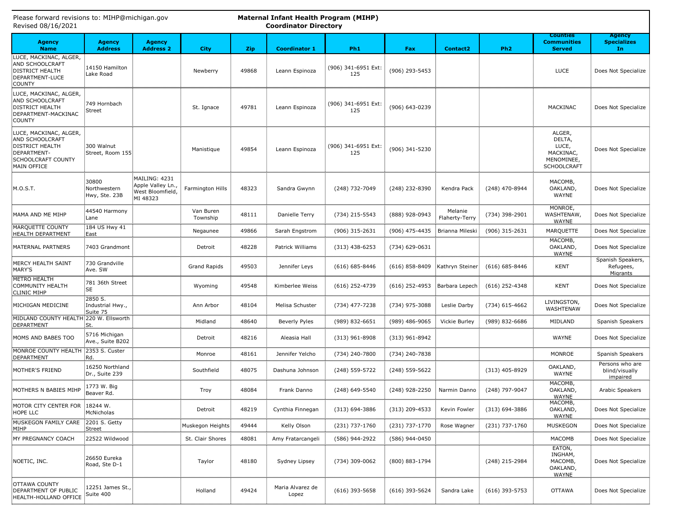| Please forward revisions to: MIHP@michigan.gov<br>Maternal Infant Health Program (MIHP)<br><b>Coordinator Directory</b><br>Revised 08/16/2021 |                                         |                                                                   |                       |            |                           |                            |                  |                                |                    |                                                                            |                                                   |
|-----------------------------------------------------------------------------------------------------------------------------------------------|-----------------------------------------|-------------------------------------------------------------------|-----------------------|------------|---------------------------|----------------------------|------------------|--------------------------------|--------------------|----------------------------------------------------------------------------|---------------------------------------------------|
| <b>Agency</b><br><b>Name</b>                                                                                                                  | <b>Agency</b><br><b>Address</b>         | <b>Agency</b><br><b>Address 2</b>                                 | <b>City</b>           | <b>Zip</b> | <b>Coordinator 1</b>      | Ph <sub>1</sub>            | Fax              | <b>Contact2</b>                | Ph <sub>2</sub>    | <b>Counties</b><br><b>Communities</b><br><b>Served</b>                     | <b>Agency</b><br><b>Specializes</b><br>In         |
| LUCE, MACKINAC, ALGER,<br>AND SCHOOLCRAFT<br><b>DISTRICT HEALTH</b><br>DEPARTMENT-LUCE<br>COUNTY                                              | 14150 Hamilton<br>Lake Road             |                                                                   | Newberry              | 49868      | Leann Espinoza            | (906) 341-6951 Ext:<br>125 | (906) 293-5453   |                                |                    | LUCE                                                                       | Does Not Specialize                               |
| LUCE, MACKINAC, ALGER,<br>AND SCHOOLCRAFT<br><b>DISTRICT HEALTH</b><br>DEPARTMENT-MACKINAC<br><b>COUNTY</b>                                   | 749 Hornbach<br><b>Street</b>           |                                                                   | St. Ignace            | 49781      | Leann Espinoza            | (906) 341-6951 Ext:<br>125 | (906) 643-0239   |                                |                    | MACKINAC                                                                   | Does Not Specialize                               |
| LUCE, MACKINAC, ALGER,<br>AND SCHOOLCRAFT<br><b>DISTRICT HEALTH</b><br>DEPARTMENT-<br>SCHOOLCRAFT COUNTY<br>MAIN OFFICE                       | 300 Walnut<br>Street, Room 155          |                                                                   | Manistique            | 49854      | Leann Espinoza            | (906) 341-6951 Ext:<br>125 | (906) 341-5230   |                                |                    | ALGER,<br>DELTA,<br>LUCE,<br>MACKINAC,<br>MENOMINEE,<br><b>SCHOOLCRAFT</b> | Does Not Specialize                               |
| M.O.S.T.                                                                                                                                      | 30800<br>Northwestern<br>Hwy, Ste. 23B  | MAILING: 4231<br>Apple Valley Ln.<br>West Bloomfield,<br>MI 48323 | Farmington Hills      | 48323      | Sandra Gwynn              | (248) 732-7049             | (248) 232-8390   | Kendra Pack                    | (248) 470-8944     | MACOMB,<br>OAKLAND,<br>WAYNE                                               | Does Not Specialize                               |
| MAMA AND ME MIHP                                                                                                                              | 44540 Harmony<br>Lane                   |                                                                   | Van Buren<br>Township | 48111      | Danielle Terry            | (734) 215-5543             | (888) 928-0943   | Melanie<br>Flaherty-Terry      | (734) 398-2901     | MONROE,<br>WASHTENAW,<br><b>WAYNE</b>                                      | Does Not Specialize                               |
| MARQUETTE COUNTY<br>HEALTH DEPARTMENT                                                                                                         | 184 US Hwy 41<br>East                   |                                                                   | Negaunee              | 49866      | Sarah Engstrom            | (906) 315-2631             | (906) 475-4435   | <b>Brianna Mileski</b>         | $(906)$ 315-2631   | MARQUETTE                                                                  | Does Not Specialize                               |
| MATERNAL PARTNERS                                                                                                                             | 7403 Grandmont                          |                                                                   | Detroit               | 48228      | Patrick Williams          | $(313)$ 438-6253           | (734) 629-0631   |                                |                    | MACOMB,<br>OAKLAND,<br><b>WAYNE</b>                                        | Does Not Specialize                               |
| MERCY HEALTH SAINT<br>MARY'S                                                                                                                  | 730 Grandville<br>Ave. SW               |                                                                   | <b>Grand Rapids</b>   | 49503      | Jennifer Leys             | $(616) 685 - 8446$         |                  | (616) 858-8409 Kathryn Steiner | $(616) 685 - 8446$ | <b>KENT</b>                                                                | Spanish Speakers,<br>Refugees,<br><b>Migrants</b> |
| METRO HEALTH<br>COMMUNITY HEALTH<br><b>CLINIC MIHP</b>                                                                                        | 781 36th Street<br>SE                   |                                                                   | Wyoming               | 49548      | Kimberlee Weiss           | $(616)$ 252-4739           | $(616)$ 252-4953 | Barbara Lepech                 | $(616)$ 252-4348   | <b>KENT</b>                                                                | Does Not Specialize                               |
| MICHIGAN MEDICINE                                                                                                                             | 2850 S.<br>Industrial Hwy.,<br>Suite 75 |                                                                   | Ann Arbor             | 48104      | Melisa Schuster           | (734) 477-7238             | (734) 975-3088   | Leslie Darby                   | $(734)$ 615-4662   | LIVINGSTON,<br>WASHTENAW                                                   | Does Not Specialize                               |
| MIDLAND COUNTY HEALTH 220 W. Ellsworth<br>DEPARTMENT                                                                                          | St.                                     |                                                                   | Midland               | 48640      | Beverly Pyles             | (989) 832-6651             | (989) 486-9065   | Vickie Burley                  | (989) 832-6686     | MIDLAND                                                                    | Spanish Speakers                                  |
| MOMS AND BABES TOO                                                                                                                            | 5716 Michigan<br>Ave., Suite B202       |                                                                   | Detroit               | 48216      | Aleasia Hall              | $(313)$ 961-8908           | $(313)$ 961-8942 |                                |                    | WAYNE                                                                      | Does Not Specialize                               |
| MONROE COUNTY HEALTH<br>DEPARTMENT                                                                                                            | 2353 S. Custer<br>Rd.                   |                                                                   | Monroe                | 48161      | Jennifer Yelcho           | (734) 240-7800             | (734) 240-7838   |                                |                    | MONROE                                                                     | Spanish Speakers                                  |
| MOTHER'S FRIEND                                                                                                                               | 16250 Northland<br>Dr., Suite 239       |                                                                   | Southfield            | 48075      | Dashuna Johnson           | (248) 559-5722             | $(248)$ 559-5622 |                                | $(313)$ 405-8929   | OAKLAND,<br>WAYNE                                                          | Persons who are<br>blind/visually<br>impaired     |
| MOTHERS N BABIES MIHP                                                                                                                         | 1773 W. Big<br>Beaver Rd.               |                                                                   | Troy                  | 48084      | Frank Danno               | (248) 649-5540             | (248) 928-2250   | Narmin Danno                   | (248) 797-9047     | MACOMB,<br>OAKLAND,<br>WAYNE                                               | Arabic Speakers                                   |
| MOTOR CITY CENTER FOR<br>HOPE LLC                                                                                                             | 18244 W.<br>McNicholas                  |                                                                   | Detroit               | 48219      | Cynthia Finnegan          | $(313) 694 - 3886$         | $(313)$ 209-4533 | Kevin Fowler                   | $(313) 694 - 3886$ | MACOMB,<br>OAKLAND,<br>WAYNE                                               | Does Not Specialize                               |
| MUSKEGON FAMILY CARE<br>MIHP                                                                                                                  | 2201 S. Getty<br><b>Street</b>          |                                                                   | Muskegon Heights      | 49444      | Kelly Olson               | (231) 737-1760             | (231) 737-1770   | Rose Wagner                    | (231) 737-1760     | <b>MUSKEGON</b>                                                            | Does Not Specialize                               |
| <b>IMY PREGNANCY COACH</b>                                                                                                                    | 22522 Wildwood                          |                                                                   | St. Clair Shores      | 48081      | Amy Fratarcangeli         | (586) 944-2922             | (586) 944-0450   |                                |                    | MACOMB                                                                     | Does Not Specialize                               |
| NOETIC, INC.                                                                                                                                  | 26650 Eureka<br>Road, Ste D-1           |                                                                   | Taylor                | 48180      | Sydney Lipsey             | (734) 309-0062             | (800) 883-1794   |                                | (248) 215-2984     | EATON,<br>INGHAM,<br>MACOMB,<br>OAKLAND,<br><b>WAYNE</b>                   | Does Not Specialize                               |
| <b>OTTAWA COUNTY</b><br>DEPARTMENT OF PUBLIC<br>HEALTH-HOLLAND OFFICE                                                                         | 12251 James St.,<br>Suite 400           |                                                                   | Holland               | 49424      | Maria Alvarez de<br>Lopez | $(616)$ 393-5658           | $(616)$ 393-5624 | Sandra Lake                    | $(616)$ 393-5753   | <b>OTTAWA</b>                                                              | Does Not Specialize                               |

**Please forward revisions to: MIHP@michigan.**<br>Please forward revisions to: MIHP@michiga